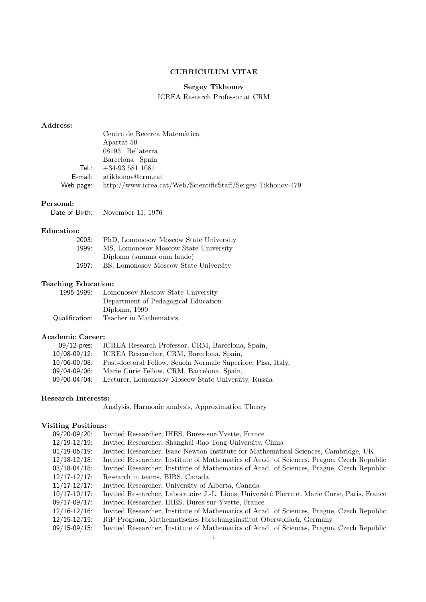## CURRICULUM VITAE

# Sergey Tikhonov

ICREA Research Professor at CRM

## Address:

|           | Centre de Recerca Matemàtica                                 |
|-----------|--------------------------------------------------------------|
|           | Apartat 50                                                   |
|           | 08193 Bellaterra                                             |
|           | Barcelona Spain                                              |
|           | Tel.: $+34-935511081$                                        |
|           | E-mail: stikhonov@crm.cat                                    |
| Web page: | http://www.icrea.cat/Web/ScientificStaff/Sergey-Tikhonov-479 |

## Personal:

Date of Birth: November 11, 1976

### Education:

| 2003: | PhD, Lomonosov Moscow State University |
|-------|----------------------------------------|
| 1999: | MS, Lomonosov Moscow State University  |
|       | Diploma (summa cum laude)              |
| 1997: | BS, Lomonosov Moscow State University  |

# Teaching Education:

| 1995-1999:     | Lomonosov Moscow State University   |
|----------------|-------------------------------------|
|                | Department of Pedagogical Education |
|                | Diploma, 1999                       |
| Qualification: | Teacher in Mathematics              |

## Academic Career:

| $09/12$ -pres:    | ICREA Research Professor, CRM, Barcelona, Spain,             |
|-------------------|--------------------------------------------------------------|
| $10/08 - 09/12$ : | ICREA Researcher, CRM, Barcelona, Spain,                     |
| $10/06 - 09/08$ : | Post-doctoral Fellow, Scuola Normale Superiore, Pisa, Italy, |
| 09/04-09/06:      | Marie Curie Fellow, CRM, Barcelona, Spain,                   |
| 09/00-04/04:      | Lecturer, Lomonosov Moscow State University, Russia          |

## Research Interests:

Analysis, Harmonic analysis, Approximation Theory

## Visiting Positions:

| $09/20 - 09/20$ : | Invited Researcher, IHES, Bures-sur-Yvette, France                                           |
|-------------------|----------------------------------------------------------------------------------------------|
| $12/19 - 12/19$ : | Invited Researcher, Shanghai Jiao Tong University, China                                     |
| $01/19 - 06/19$ : | Invited Researcher, Isaac Newton Institute for Mathematical Sciences, Cambridge, UK          |
| $12/18 - 12/18$ : | Invited Researcher, Institute of Mathematics of Acad. of Sciences, Prague, Czech Republic    |
| $03/18 - 04/18$ : | Invited Researcher, Institute of Mathematics of Acad. of Sciences, Prague, Czech Republic    |
| $12/17 - 12/17$ : | Research in teams, BIRS, Canada                                                              |
| $11/17 - 12/17$ : | Invited Researcher, University of Alberta, Canada                                            |
| $10/17 - 10/17$ : | Invited Researcher, Laboratoire J.-L. Lions, Université Pierre et Marie Curie, Paris, France |
| $09/17 - 09/17$ : | Invited Researcher, IHES, Bures-sur-Yvette, France                                           |
| $12/16 - 12/16$ : | Invited Researcher, Institute of Mathematics of Acad. of Sciences, Prague, Czech Republic    |
| $12/15 - 12/15$ : | RiP Program, Mathematisches Forschungsinstitut Oberwolfach, Germany                          |
| $09/15 - 09/15$ : | Invited Researcher, Institute of Mathematics of Acad. of Sciences, Prague, Czech Republic    |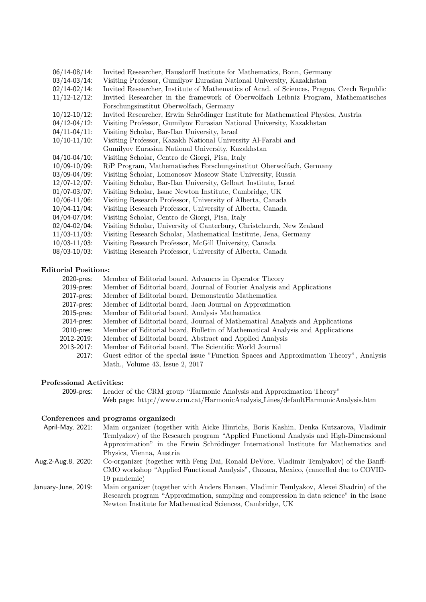| $06/14 - 08/14$ : | Invited Researcher, Hausdorff Institute for Mathematics, Bonn, Germany                    |
|-------------------|-------------------------------------------------------------------------------------------|
| $03/14 - 03/14$ : | Visiting Professor, Gumilyov Eurasian National University, Kazakhstan                     |
| $02/14 - 02/14$ : | Invited Researcher, Institute of Mathematics of Acad. of Sciences, Prague, Czech Republic |
| $11/12 - 12/12$ : | Invited Researcher in the framework of Oberwolfach Leibniz Program, Mathematisches        |
|                   | Forschungsinstitut Oberwolfach, Germany                                                   |
| $10/12 - 10/12$ : | Invited Researcher, Erwin Schrödinger Institute for Mathematical Physics, Austria         |
| $04/12 - 04/12$ : | Visiting Professor, Gumilyov Eurasian National University, Kazakhstan                     |
| $04/11 - 04/11$ : | Visiting Scholar, Bar-Ilan University, Israel                                             |
| $10/10-11/10$ :   | Visiting Professor, Kazakh National University Al-Farabi and                              |
|                   | Gumilyov Eurasian National University, Kazakhstan                                         |
| $04/10-04/10$ :   | Visiting Scholar, Centro de Giorgi, Pisa, Italy                                           |
| $10/09 - 10/09$ : | RiP Program, Mathematisches Forschungsinstitut Oberwolfach, Germany                       |
| $03/09 - 04/09$ : | Visiting Scholar, Lomonosov Moscow State University, Russia                               |
| $12/07 - 12/07$ : | Visiting Scholar, Bar-Ilan University, Gelbart Institute, Israel                          |
| $01/07 - 03/07$ : | Visiting Scholar, Isaac Newton Institute, Cambridge, UK                                   |
| $10/06 - 11/06$ : | Visiting Research Professor, University of Alberta, Canada                                |
| $10/04 - 11/04$ : | Visiting Research Professor, University of Alberta, Canada                                |
| $04/04 - 07/04$ : | Visiting Scholar, Centro de Giorgi, Pisa, Italy                                           |
| $02/04 - 02/04$ : | Visiting Scholar, University of Canterbury, Christchurch, New Zealand                     |
| $11/03 - 11/03$ : | Visiting Research Scholar, Mathematical Institute, Jena, Germany                          |
| $10/03 - 11/03$ : | Visiting Research Professor, McGill University, Canada                                    |
| $08/03 - 10/03$ : | Visiting Research Professor, University of Alberta, Canada                                |

#### Editorial Positions:

- 2020-pres: Member of Editorial board, Advances in Operator Theory
- 2019-pres: Member of Editorial board, Journal of Fourier Analysis and Applications
- 2017-pres: Member of Editorial board, Demonstratio Mathematica
- 2017-pres: Member of Editorial board, Jaen Journal on Approximation
- 2015-pres: Member of Editorial board, Analysis Mathematica
- 2014-pres: Member of Editorial board, Journal of Mathematical Analysis and Applications
- 2010-pres: Member of Editorial board, Bulletin of Mathematical Analysis and Applications
- 2012-2019: Member of Editorial board, Abstract and Applied Analysis
- 2013-2017: Member of Editorial board, The Scientific World Journal
	- 2017: Guest editor of the special issue "Function Spaces and Approximation Theory", Analysis Math., Volume 43, Issue 2, 2017

#### Professional Activities:

2009-pres: Leader of the CRM group "Harmonic Analysis and Approximation Theory" Web page: http://www.crm.cat/HarmonicAnalysis Lines/defaultHarmonicAnalysis.htm

# Conferences and programs organized:

19 pandemic)

| April-May. 2021:   | Main organizer (together with Aicke Hinrichs, Boris Kashin, Denka Kutzarova, Vladimir  |
|--------------------|----------------------------------------------------------------------------------------|
|                    | Temlyakov) of the Research program "Applied Functional Analysis and High-Dimensional   |
|                    | Approximation" in the Erwin Schrödinger International Institute for Mathematics and    |
|                    | Physics, Vienna, Austria                                                               |
| Aug.2-Aug.8, 2020: | Co-organizer (together with Feng Dai, Ronald DeVore, Vladimir Temlyakov) of the Banff- |
|                    | CMO workshop "Applied Functional Analysis", Oaxaca, Mexico, (cancelled due to COVID-   |

January-June, 2019: Main organizer (together with Anders Hansen, Vladimir Temlyakov, Alexei Shadrin) of the Research program "Approximation, sampling and compression in data science" in the Isaac Newton Institute for Mathematical Sciences, Cambridge, UK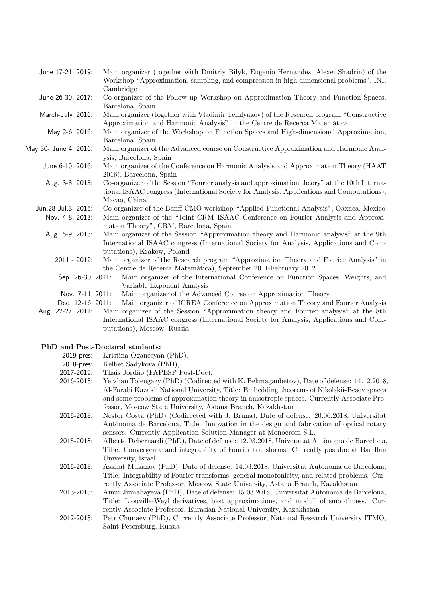| June 17-21, 2019:     | Main organizer (together with Dmitriy Bilyk, Eugenio Hernandez, Alexei Shadrin) of the<br>Workshop "Approximation, sampling, and compression in high dimensional problems", INI,<br>Cambridge                  |
|-----------------------|----------------------------------------------------------------------------------------------------------------------------------------------------------------------------------------------------------------|
| June 26-30, 2017:     | Co-organizer of the Follow up Workshop on Approximation Theory and Function Spaces,<br>Barcelona, Spain                                                                                                        |
| March-July, 2016:     | Main organizer (together with Vladimir Temlyakov) of the Research program "Constructive"<br>Approximation and Harmonic Analysis" in the Centre de Recerca Matemàtica                                           |
| May 2-6, 2016:        | Main organizer of the Workshop on Function Spaces and High-dimensional Approximation,<br>Barcelona, Spain                                                                                                      |
| May 30- June 4, 2016: | Main organizer of the Advanced course on Constructive Approximation and Harmonic Anal-<br>ysis, Barcelona, Spain                                                                                               |
| June 6-10, 2016:      | Main organizer of the Conference on Harmonic Analysis and Approximation Theory (HAAT<br>2016), Barcelona, Spain                                                                                                |
| Aug. 3-8, 2015:       | Co-organizer of the Session "Fourier analysis and approximation theory" at the 10th Interna-<br>tional ISAAC congress (International Society for Analysis, Applications and Computations),<br>Macao, China     |
| Jun.28-Jul.3, 2015:   | Co-organizer of the Banff-CMO workshop "Applied Functional Analysis", Oaxaca, Mexico                                                                                                                           |
| Nov. 4-8, 2013:       | Main organizer of the "Joint CRM-ISAAC Conference on Fourier Analysis and Approxi-<br>mation Theory", CRM, Barcelona, Spain                                                                                    |
| Aug. 5-9, 2013:       | Main organizer of the Session "Approximation theory and Harmonic analysis" at the 9th<br>International ISAAC congress (International Society for Analysis, Applications and Com-<br>putations), Krakow, Poland |
| $2011 - 2012$ :       | Main organizer of the Research program "Approximation Theory and Fourier Analysis" in<br>the Centre de Recerca Matemàtica), September 2011-February 2012.                                                      |
| Sep. 26-30, 2011:     | Main organizer of the International Conference on Function Spaces, Weights, and<br>Variable Exponent Analysis                                                                                                  |
| Nov. 7-11, 2011:      | Main organizer of the Advanced Course on Approximation Theory                                                                                                                                                  |
| Dec. 12-16, 2011:     | Main organizer of ICREA Conference on Approximation Theory and Fourier Analysis                                                                                                                                |

Aug. 22-27, 2011: Main organizer of the Session "Approximation theory and Fourier analysis" at the 8th International ISAAC congress (International Society for Analysis, Applications and Computations), Moscow, Russia

## PhD and Post-Doctoral students:

| 2019-pres: | Kristina Oganesyan (PhD), |  |
|------------|---------------------------|--|
|            |                           |  |

- 2018-pres: Kelbet Sadykova (PhD),
- 2017-2019: Thaís Jordão (FAPESP Post-Doc),
- 2016-2018: Yerzhan Toleugazy (PhD) (Codirected with K. Bekmaganbetov), Date of defense: 14.12.2018, Al-Farabi Kazakh National University, Title: Embedding theorems of Nikolskii-Besov spaces and some problems of approximation theory in anisotropic spaces. Currently Associate Professor, Moscow State University, Astana Branch, Kazakhstan
- 2015-2018: Nestor Costa (PhD) (Codirected with J. Bruna), Date of defense: 20.06.2018, Universitat Autònoma de Barcelona, Title: Innovation in the design and fabrication of optical rotary sensors. Currently Application Solution Manager at Monocrom S.L.
- 2015-2018: Alberto Debernardi (PhD), Date of defense: 12.03.2018, Universitat Autònoma de Barcelona, Title: Convergence and integrability of Fourier transforms. Currently postdoc at Bar Ilan University, Israel
- 2015-2018: Askhat Mukanov (PhD), Date of defense: 14.03.2018, Universitat Autonoma de Barcelona, Title: Integrability of Fourier transforms, general monotonicity, and related problems. Currently Associate Professor, Moscow State University, Astana Branch, Kazakhstan
- 2013-2018: Ainur Jumabayeva (PhD), Date of defense: 15.03.2018, Universitat Autonoma de Barcelona, Title: Liouville-Weyl derivatives, best approximations, and moduli of smoothness. Currently Associate Professor, Eurasian National University, Kazakhstan
- 2012-2013: Petr Chunaev (PhD), Currently Associate Professor, National Research University ITMO, Saint Petersburg, Russia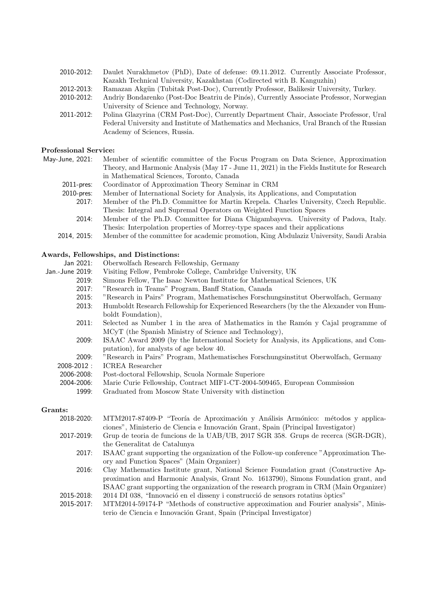| 2010-2012: | Daulet Nurakhmetov (PhD), Date of defense: 09.11.2012. Currently Associate Professor,   |
|------------|-----------------------------------------------------------------------------------------|
|            | Kazakh Technical University, Kazakhstan (Codirected with B. Kanguzhin)                  |
| 2012-2013: | Ramazan Akgün (Tubitak Post-Doc), Currently Professor, Balikesir University, Turkey.    |
| 2010-2012: | Andriy Bondarenko (Post-Doc Beatriu de Pinós), Currently Associate Professor, Norwegian |
|            | University of Science and Technology, Norway.                                           |

2011-2012: Polina Glazyrina (CRM Post-Doc), Currently Department Chair, Associate Professor, Ural Federal University and Institute of Mathematics and Mechanics, Ural Branch of the Russian Academy of Sciences, Russia.

#### Professional Service:

May-June, 2021: Member of scientific committee of the Focus Program on Data Science, Approximation Theory, and Harmonic Analysis (May 17 - June 11, 2021) in the Fields Institute for Research in Mathematical Sciences, Toronto, Canada

- 2011-pres: Coordinator of Approximation Theory Seminar in CRM
- 2010-pres: Member of International Society for Analysis, its Applications, and Computation
	- 2017: Member of the Ph.D. Committee for Martin Krepela. Charles University, Czech Republic. Thesis: Integral and Supremal Operators on Weighted Function Spaces
	- 2014: Member of the Ph.D. Committee for Diana Chigambayeva. University of Padova, Italy. Thesis: Interpolation properties of Morrey-type spaces and their applications
- 2014, 2015: Member of the committee for academic promotion, King Abdulaziz University, Saudi Arabia

## Awards, Fellowships, and Distinctions:

| Jan 2021:       | Oberwolfach Research Fellowship, Germany                                                |
|-----------------|-----------------------------------------------------------------------------------------|
| Jan.-June 2019: | Visiting Fellow, Pembroke College, Cambridge University, UK                             |
| 2019:           | Simons Fellow, The Isaac Newton Institute for Mathematical Sciences, UK                 |
| 2017:           | "Research in Teams" Program, Banff Station, Canada                                      |
| 2015:           | "Research in Pairs" Program, Mathematisches Forschungsinstitut Oberwolfach, Germany     |
| 2013:           | Humboldt Research Fellowship for Experienced Researchers (by the the Alexander von Hum- |
|                 | boldt Foundation),                                                                      |
| 2011:           | Selected as Number 1 in the area of Mathematics in the Ramón y Cajal programme of       |
|                 | MCyT (the Spanish Ministry of Science and Technology),                                  |
| 2009:           | ISAAC Award 2009 (by the International Society for Analysis, its Applications, and Com- |
|                 | putation), for analysts of age below 40.                                                |
| 2009:           | "Research in Pairs" Program, Mathematisches Forschungsinstitut Oberwolfach, Germany     |
| $2008 - 2012$ : | <b>ICREA</b> Researcher                                                                 |
| 2006-2008:      | Post-doctoral Fellowship, Scuola Normale Superiore                                      |
| 2004-2006:      | Marie Curie Fellowship, Contract MIF1-CT-2004-509465, European Commission               |
| 1999:           | Graduated from Moscow State University with distinction                                 |

#### Grants:

| 2018-2020: | MTM2017-87409-P "Teoría de Aproximación y Análisis Armónico: métodos y applica-         |
|------------|-----------------------------------------------------------------------------------------|
|            | ciones", Ministerio de Ciencia e Innovación Grant, Spain (Principal Investigator)       |
| 2017-2019: | Grup de teoria de funcions de la UAB/UB, 2017 SGR 358. Grups de recerca (SGR-DGR),      |
|            | the Generalitat de Catalunya                                                            |
| 2017:      | ISAAC grant supporting the organization of the Follow-up conference "Approximation The- |
|            | ory and Function Spaces" (Main Organizer)                                               |
| 2016:      | Clay Mathematics Institute grant, National Science Foundation grant (Constructive Ap-   |
|            | proximation and Harmonic Analysis, Grant No. 1613790), Simons Foundation grant, and     |
|            | ISAAC grant supporting the organization of the research program in CRM (Main Organizer) |
| 2015-2018: | 2014 DI 038, "Innovació en el disseny i construcció de sensors rotatius òptics"         |
| 2015.2017  | MTM9014.50174 P. "Mothods of constructive approximation and Fourier analysis". Minis    |

MTM2014-59174-P "Methods of constructive approximation and Fourier analysis", Minis terio de Ciencia e Innovación Grant, Spain (Principal Investigator)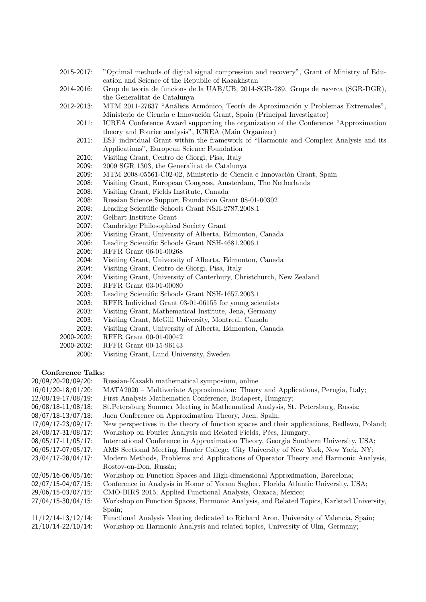- 2015-2017: "Optimal methods of digital signal compression and recovery", Grant of Ministry of Education and Science of the Republic of Kazakhstan
- 2014-2016: Grup de teoria de funcions de la UAB/UB, 2014-SGR-289. Grups de recerca (SGR-DGR), the Generalitat de Catalunya
- 2012-2013: MTM 2011-27637 "Análisis Armónico, Teoría de Aproximación y Problemas Extremales", Ministerio de Ciencia e Innovación Grant, Spain (Principal Investigator)
	- 2011: ICREA Conference Award supporting the organization of the Conference "Approximation theory and Fourier analysis", ICREA (Main Organizer)
	- 2011: ESF individual Grant within the framework of "Harmonic and Complex Analysis and its Applications", European Science Foundation
	- 2010: Visiting Grant, Centro de Giorgi, Pisa, Italy
	- 2009: 2009 SGR 1303, the Generalitat de Catalunya
	- 2009: MTM 2008-05561-C02-02, Ministerio de Ciencia e Innovación Grant, Spain
	- 2008: Visiting Grant, European Congress, Amsterdam, The Netherlands
	- 2008: Visiting Grant, Fields Institute, Canada
	- 2008: Russian Science Support Foundation Grant 08-01-00302
	- 2008: Leading Scientific Schools Grant NSH-2787.2008.1
	- 2007: Gelbart Institute Grant
	- 2007: Cambridge Philosophical Society Grant
	- 2006: Visiting Grant, University of Alberta, Edmonton, Canada
	- 2006: Leading Scientific Schools Grant NSH-4681.2006.1
	- 2006: RFFR Grant 06-01-00268
	- 2004: Visiting Grant, University of Alberta, Edmonton, Canada
	- 2004: Visiting Grant, Centro de Giorgi, Pisa, Italy
	- 2004: Visiting Grant, University of Canterbury, Christchurch, New Zealand
	- 2003: RFFR Grant 03-01-00080
	- 2003: Leading Scientific Schools Grant NSH-1657.2003.1
	- 2003: RFFR Individual Grant 03-01-06155 for young scientists
	- 2003: Visiting Grant, Mathematical Institute, Jena, Germany
	- 2003: Visiting Grant, McGill University, Montreal, Canada
	- 2003: Visiting Grant, University of Alberta, Edmonton, Canada
- 2000-2002: RFFR Grant 00-01-00042
- 2000-2002: RFFR Grant 00-15-96143
	- 2000: Visiting Grant, Lund University, Sweden

#### Conference Talks:

| 20/09/20-20/09/20:      | Russian-Kazakh mathematical symposium, online                                              |
|-------------------------|--------------------------------------------------------------------------------------------|
| $16/01/20-18/01/20$ :   | MATA2020 – Multivariate Approximation: Theory and Applications, Perugia, Italy;            |
| 12/08/19-17/08/19:      | First Analysis Mathematica Conference, Budapest, Hungary;                                  |
| $06/08/18-11/08/18$ :   | St. Petersburg Summer Meeting in Mathematical Analysis, St. Petersburg, Russia;            |
| 08/07/18-13/07/18:      | Jaen Conference on Approximation Theory, Jaen, Spain;                                      |
| 17/09/17-23/09/17:      | New perspectives in the theory of function spaces and their applications, Bedlewo, Poland; |
| 24/08/17-31/08/17:      | Workshop on Fourier Analysis and Related Fields, Pécs, Hungary;                            |
| $08/05/17 - 11/05/17$ : | International Conference in Approximation Theory, Georgia Southern University, USA;        |
| 06/05/17-07/05/17:      | AMS Sectional Meeting, Hunter College, City University of New York, New York, NY;          |
| 23/04/17-28/04/17:      | Modern Methods, Problems and Applications of Operator Theory and Harmonic Analysis,        |
|                         | Rostov-on-Don, Russia;                                                                     |
| $02/05/16 - 06/05/16$ : | Workshop on Function Spaces and High-dimensional Approximation, Barcelona;                 |
| $02/07/15 - 04/07/15$ : | Conference in Analysis in Honor of Yoram Sagher, Florida Atlantic University, USA;         |
| 29/06/15-03/07/15:      | CMO-BIRS 2015, Applied Functional Analysis, Oaxaca, Mexico;                                |
| $27/04/15 - 30/04/15$ : | Workshop on Function Spaces, Harmonic Analysis, and Related Topics, Karlstad University,   |
|                         | Spain;                                                                                     |
| $11/12/14-13/12/14$ :   | Functional Analysis Meeting dedicated to Richard Aron, University of Valencia, Spain;      |
| $21/10/14 - 22/10/14$ : | Workshop on Harmonic Analysis and related topics, University of Ulm, Germany;              |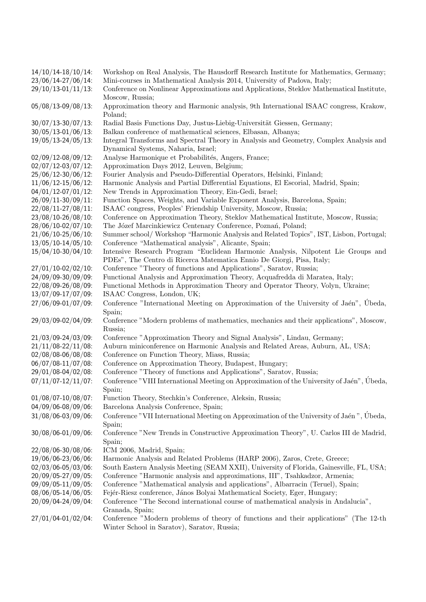| $14/10/14-18/10/14$ :   | Workshop on Real Analysis, The Hausdorff Research Institute for Mathematics, Germany;                                                |
|-------------------------|--------------------------------------------------------------------------------------------------------------------------------------|
| 23/06/14-27/06/14:      | Mini-courses in Mathematical Analysis 2014, University of Padova, Italy;                                                             |
| $29/10/13 - 01/11/13$ : | Conference on Nonlinear Approximations and Applications, Steklov Mathematical Institute,<br>Moscow, Russia;                          |
| 05/08/13-09/08/13:      | Approximation theory and Harmonic analysis, 9th International ISAAC congress, Krakow,<br>Poland;                                     |
| $30/07/13 - 30/07/13$ : | Radial Basis Functions Day, Justus-Liebig-Universität Giessen, Germany;                                                              |
| $30/05/13 - 01/06/13$ : | Balkan conference of mathematical sciences, Elbasan, Albanya;                                                                        |
| $19/05/13 - 24/05/13$ : | Integral Transforms and Spectral Theory in Analysis and Geometry, Complex Analysis and<br>Dynamical Systems, Naharia, Israel;        |
| $02/09/12 - 08/09/12$ : | Analyse Harmonique et Probabilités, Angers, France;                                                                                  |
| $02/07/12 - 03/07/12$ : | Approximation Days 2012, Leuven, Belgium;                                                                                            |
| 25/06/12-30/06/12:      | Fourier Analysis and Pseudo-Differential Operators, Helsinki, Finland;                                                               |
| $11/06/12 - 15/06/12$ : | Harmonic Analysis and Partial Differential Equations, El Escorial, Madrid, Spain;                                                    |
| $04/01/12 - 07/01/12$ : | New Trends in Approximation Theory, Ein-Gedi, Israel;                                                                                |
| 26/09/11-30/09/11:      | Function Spaces, Weights, and Variable Exponent Analysis, Barcelona, Spain;                                                          |
| 22/08/11-27/08/11:      | ISAAC congress, Peoples' Friendship University, Moscow, Russia;                                                                      |
| 23/08/10-26/08/10:      | Conference on Approximation Theory, Steklov Mathematical Institute, Moscow, Russia;                                                  |
| 28/06/10-02/07/10:      | The Józef Marcinkiewicz Centenary Conference, Poznań, Poland;                                                                        |
| $21/06/10 - 25/06/10$ : | Summer school/Workshop "Harmonic Analysis and Related Topics", IST, Lisbon, Portugal;                                                |
| $13/05/10-14/05/10$ :   | Conference "Mathematical analysis", Alicante, Spain;                                                                                 |
| $15/04/10-30/04/10$ :   | Intensive Research Program "Euclidean Harmonic Analysis, Nilpotent Lie Groups and                                                    |
|                         | PDEs", The Centro di Ricerca Matematica Ennio De Giorgi, Pisa, Italy;                                                                |
| $27/01/10-02/02/10$ :   | Conference "Theory of functions and Applications", Saratov, Russia;                                                                  |
| 24/09/09-30/09/09:      | Functional Analysis and Approximation Theory, Acquafredda di Maratea, Italy;                                                         |
| 22/08/09-26/08/09:      | Functional Methods in Approximation Theory and Operator Theory, Volyn, Ukraine;                                                      |
| 13/07/09-17/07/09:      | ISAAC Congress, London, UK;                                                                                                          |
| 27/06/09-01/07/09:      | Conference "International Meeting on Approximation of the University of Jaén", Ubeda,<br>Spain;                                      |
| 29/03/09-02/04/09:      | Conference "Modern problems of mathematics, mechanics and their applications", Moscow,<br>Russia;                                    |
| 21/03/09-24/03/09:      | Conference "Approximation Theory and Signal Analysis", Lindau, Germany;                                                              |
| $21/11/08 - 22/11/08$ : | Auburn miniconference on Harmonic Analysis and Related Areas, Auburn, AL, USA;                                                       |
| 02/08/08-06/08/08:      | Conference on Function Theory, Miass, Russia;                                                                                        |
| 06/07/08-11/07/08:      | Conference on Approximation Theory, Budapest, Hungary;                                                                               |
| 29/01/08-04/02/08:      | Conference "Theory of functions and Applications", Saratov, Russia;                                                                  |
| $07/11/07 - 12/11/07$ : | Conference "VIII International Meeting on Approximation of the University of Jaén", Úbeda,                                           |
|                         | Spain;                                                                                                                               |
| $01/08/07 - 10/08/07$ : | Function Theory, Stechkin's Conference, Aleksin, Russia;                                                                             |
| 04/09/06-08/09/06:      | Barcelona Analysis Conference, Spain;                                                                                                |
| 31/08/06-03/09/06:      | Conference "VII International Meeting on Approximation of the University of Jaén", Úbeda,<br>Spain;                                  |
| 30/08/06-01/09/06:      | Conference "New Trends in Constructive Approximation Theory", U. Carlos III de Madrid,<br>Spain;                                     |
| 22/08/06-30/08/06:      | ICM 2006, Madrid, Spain;                                                                                                             |
| 19/06/06-23/06/06:      | Harmonic Analysis and Related Problems (HARP 2006), Zaros, Crete, Greece;                                                            |
| 02/03/06-05/03/06:      | South Eastern Analysis Meeting (SEAM XXII), University of Florida, Gainesville, FL, USA;                                             |
| 20/09/05-27/09/05:      | Conference "Harmonic analysis and approximations, III", Tsahkadzor, Armenia;                                                         |
| 09/09/05-11/09/05:      | Conference "Mathematical analysis and applications", Albarracin (Teruel), Spain;                                                     |
| 08/06/05-14/06/05:      | Fejér-Riesz conference, János Bolyai Mathematical Society, Eger, Hungary;                                                            |
| 20/09/04-24/09/04:      | Conference "The Second international course of mathematical analysis in Andalucia",                                                  |
|                         | Granada, Spain;                                                                                                                      |
| 27/01/04-01/02/04:      | Conference "Modern problems of theory of functions and their applications" (The 12-th<br>Winter School in Saratov), Saratov, Russia; |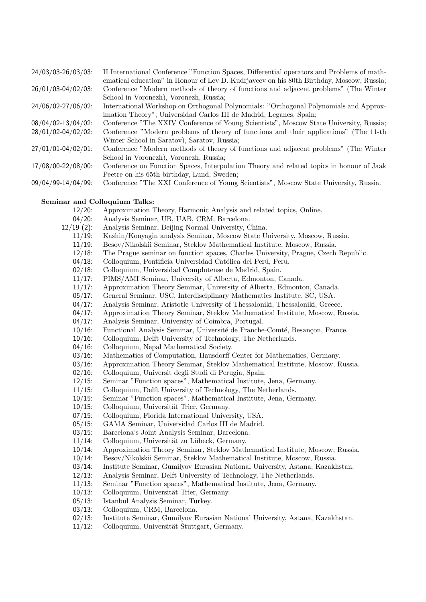| 27/00/00220/00100  | н настнаденат сопісняти тапедон драссь, в пістеннаг орегалогія ану і толень от піаді-    |
|--------------------|------------------------------------------------------------------------------------------|
|                    | ematical education" in Honour of Lev D. Kudrjavcev on his 80th Birthday, Moscow, Russia. |
| 26/01/03-04/02/03: | Conference "Modern methods of theory of functions and adjacent problems" (The Winter     |
|                    | School in Voronezh, Voronezh, Russia;                                                    |
| 24/06/02-27/06/02: | International Workshop on Orthogonal Polynomials: "Orthogonal Polynomials and Approx-    |
|                    | imation Theory", Universidad Carlos III de Madrid, Leganes, Spain;                       |
| 08/04/02-13/04/02: | Conference "The XXIV Conference of Young Scientists", Moscow State University, Russia;   |
| 28/01/02-04/02/02: | Conference "Modern problems of theory of functions and their applications" (The 11-th    |
|                    | Winter School in Saratov), Saratov, Russia;                                              |
| 27/01/01-04/02/01: | Conference "Modern methods of theory of functions and adjacent problems" (The Winter     |
|                    | School in Voronezh, Voronezh, Russia;                                                    |
| 17/08/00-22/08/00: | Conference on Function Spaces, Interpolation Theory and related topics in honour of Jaak |
|                    | Peetre on his 65th birthday, Lund, Sweden;                                               |
| 09/04/99-14/04/99: | Conference "The XXI Conference of Young Scientists", Moscow State University, Russia.    |
|                    |                                                                                          |
|                    |                                                                                          |

24/03/03-26/03/03: II International Conference "Function Spaces, Differential operators and Problems of math-

#### Seminar and Colloquium Talks:

- 12/20: Approximation Theory, Harmonic Analysis and related topics, Online.
- 04/20: Analysis Seminar, UB, UAB, CRM, Barcelona.
- 12/19 (2): Analysis Seminar, Beijing Normal University, China.
	- 11/19: Kashin/Konyagin analysis Seminar, Moscow State University, Moscow, Russia.
	- 11/19: Besov/Nikolskii Seminar, Steklov Mathematical Institute, Moscow, Russia.
	- 12/18: The Prague seminar on function spaces, Charles University, Prague, Czech Republic.
	- 04/18: Colloquium, Pontificia Universidad Católica del Perú, Peru.
	- 02/18: Colloquium, Universidad Complutense de Madrid, Spain.
	- 11/17: PIMS/AMI Seminar, University of Alberta, Edmonton, Canada.
	- 11/17: Approximation Theory Seminar, University of Alberta, Edmonton, Canada.
	- 05/17: General Seminar, USC, Interdisciplinary Mathematics Institute, SC, USA.
	- 04/17: Analysis Seminar, Aristotle University of Thessaloniki, Thessaloniki, Greece.
	- 04/17: Approximation Theory Seminar, Steklov Mathematical Institute, Moscow, Russia.
	- 04/17: Analysis Seminar, University of Coimbra, Portugal.
	- 10/16: Functional Analysis Seminar, Université de Franche-Comté, Besançon, France.
	- 10/16: Colloquium, Delft University of Technology, The Netherlands.
	- 04/16: Colloquium, Nepal Mathematical Society.
	- 03/16: Mathematics of Computation, Hausdorff Center for Mathematics, Germany.
	- 03/16: Approximation Theory Seminar, Steklov Mathematical Institute, Moscow, Russia.
	- 02/16: Colloquium, Universit degli Studi di Perugia, Spain.
	- 12/15: Seminar "Function spaces", Mathematical Institute, Jena, Germany.
	- 11/15: Colloquium, Delft University of Technology, The Netherlands.
	- 10/15: Seminar "Function spaces", Mathematical Institute, Jena, Germany.
	- 10/15: Colloquium, Universität Trier, Germany.
	- 07/15: Colloquium, Florida International University, USA.
	- 05/15: GAMA Seminar, Universidad Carlos III de Madrid.
	- 03/15: Barcelona's Joint Analysis Seminar, Barcelona.
	- 11/14: Colloquium, Universität zu Lübeck, Germany.
	- 10/14: Approximation Theory Seminar, Steklov Mathematical Institute, Moscow, Russia.
	- 10/14: Besov/Nikolskii Seminar, Steklov Mathematical Institute, Moscow, Russia.
	- 03/14: Institute Seminar, Gumilyov Eurasian National University, Astana, Kazakhstan.
	- 12/13: Analysis Seminar, Delft University of Technology, The Netherlands.
	- 11/13: Seminar "Function spaces", Mathematical Institute, Jena, Germany.
	- 10/13: Colloquium, Universität Trier, Germany.
	- 05/13: Istanbul Analysis Seminar, Turkey.
	- 03/13: Colloquium, CRM, Barcelona.
	- 02/13: Institute Seminar, Gumilyov Eurasian National University, Astana, Kazakhstan.
	- 11/12: Colloquium, Universität Stuttgart, Germany.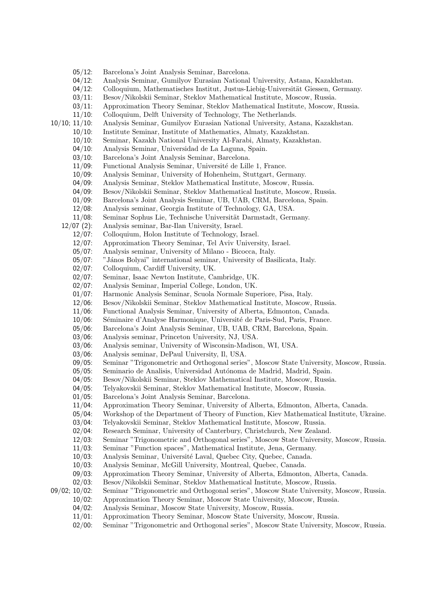- 05/12: Barcelona's Joint Analysis Seminar, Barcelona.
- 04/12: Analysis Seminar, Gumilyov Eurasian National University, Astana, Kazakhstan.
- 04/12: Colloquium, Mathematisches Institut, Justus-Liebig-Universität Giessen, Germany.
- 03/11: Besov/Nikolskii Seminar, Steklov Mathematical Institute, Moscow, Russia.
- 03/11: Approximation Theory Seminar, Steklov Mathematical Institute, Moscow, Russia.
- 11/10: Colloquium, Delft University of Technology, The Netherlands.
- 10/10; 11/10: Analysis Seminar, Gumilyov Eurasian National University, Astana, Kazakhstan.
	- 10/10: Institute Seminar, Institute of Mathematics, Almaty, Kazakhstan.
	- 10/10: Seminar, Kazakh National University Al-Farabi, Almaty, Kazakhstan.
	- 04/10: Analysis Seminar, Universidad de La Laguna, Spain.
	- 03/10: Barcelona's Joint Analysis Seminar, Barcelona.
	- 11/09: Functional Analysis Seminar, Université de Lille 1, France.
	- 10/09: Analysis Seminar, University of Hohenheim, Stuttgart, Germany.
	- 04/09: Analysis Seminar, Steklov Mathematical Institute, Moscow, Russia.
	- 04/09: Besov/Nikolskii Seminar, Steklov Mathematical Institute, Moscow, Russia.
	- 01/09: Barcelona's Joint Analysis Seminar, UB, UAB, CRM, Barcelona, Spain.
	- 12/08: Analysis seminar, Georgia Institute of Technology, GA, USA.
	- 11/08: Seminar Sophus Lie, Technische Universität Darmstadt, Germany.
	- 12/07 (2): Analysis seminar, Bar-Ilan University, Israel.
		- 12/07: Colloquium, Holon Institute of Technology, Israel.
			- 12/07: Approximation Theory Seminar, Tel Aviv University, Israel.
		- 05/07: Analysis seminar, University of Milano Bicocca, Italy.
		- 05/07: "János Bolyai" international seminar, University of Basilicata, Italy.
		- 02/07: Colloquium, Cardiff University, UK.
		- 02/07: Seminar, Isaac Newton Institute, Cambridge, UK.
		- 02/07: Analysis Seminar, Imperial College, London, UK.
		- 01/07: Harmonic Analysis Seminar, Scuola Normale Superiore, Pisa, Italy.
		- 12/06: Besov/Nikolskii Seminar, Steklov Mathematical Institute, Moscow, Russia.
		- 11/06: Functional Analysis Seminar, University of Alberta, Edmonton, Canada.
		- 10/06: Séminaire d'Analyse Harmonique, Université de Paris-Sud, Paris, France.
		- 05/06: Barcelona's Joint Analysis Seminar, UB, UAB, CRM, Barcelona, Spain.
		- 03/06: Analysis seminar, Princeton University, NJ, USA.
		- 03/06: Analysis seminar, University of Wisconsin-Madison, WI, USA.
		- 03/06: Analysis seminar, DePaul University, Il, USA.
		- 09/05: Seminar "Trigonometric and Orthogonal series", Moscow State University, Moscow, Russia.
		- 05/05: Seminario de Analisis, Universidad Autónoma de Madrid, Madrid, Spain.
		- 04/05: Besov/Nikolskii Seminar, Steklov Mathematical Institute, Moscow, Russia.
		- 04/05: Telyakovskii Seminar, Steklov Mathematical Institute, Moscow, Russia.
		- 01/05: Barcelona's Joint Analysis Seminar, Barcelona.
		- 11/04: Approximation Theory Seminar, University of Alberta, Edmonton, Alberta, Canada.
		- 05/04: Workshop of the Department of Theory of Function, Kiev Mathematical Institute, Ukraine.
		- 03/04: Telyakovskii Seminar, Steklov Mathematical Institute, Moscow, Russia.
		- 02/04: Research Seminar, University of Canterbury, Christchurch, New Zealand.
		- 12/03: Seminar "Trigonometric and Orthogonal series", Moscow State University, Moscow, Russia.
		- 11/03: Seminar "Function spaces", Mathematical Institute, Jena, Germany.
		- 10/03: Analysis Seminar, Université Laval, Quebec City, Quebec, Canada.
		- 10/03: Analysis Seminar, McGill University, Montreal, Quebec, Canada.
		- 09/03: Approximation Theory Seminar, University of Alberta, Edmonton, Alberta, Canada.
		- 02/03: Besov/Nikolskii Seminar, Steklov Mathematical Institute, Moscow, Russia.

09/02; 10/02: Seminar "Trigonometric and Orthogonal series", Moscow State University, Moscow, Russia.

- 10/02: Approximation Theory Seminar, Moscow State University, Moscow, Russia.
- 04/02: Analysis Seminar, Moscow State University, Moscow, Russia.
- 11/01: Approximation Theory Seminar, Moscow State University, Moscow, Russia.
- 02/00: Seminar "Trigonometric and Orthogonal series", Moscow State University, Moscow, Russia.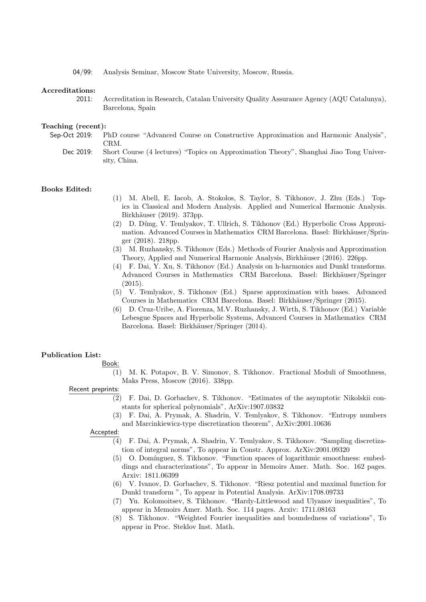04/99: Analysis Seminar, Moscow State University, Moscow, Russia.

#### Accreditations:

2011: Accreditation in Research, Catalan University Quality Assurance Agency (AQU Catalunya), Barcelona, Spain

#### Teaching (recent):

- Sep-Oct 2019: PhD course "Advanced Course on Constructive Approximation and Harmonic Analysis", CRM.
	- Dec 2019: Short Course (4 lectures) "Topics on Approximation Theory", Shanghai Jiao Tong University, China.

#### Books Edited:

- (1) M. Abell, E. Iacob, A. Stokolos, S. Taylor, S. Tikhonov, J. Zhu (Eds.) Topics in Classical and Modern Analysis. Applied and Numerical Harmonic Analysis. Birkhäuser (2019). 373pp.
- (2) D. D˜ung, V. Temlyakov, T. Ullrich, S. Tikhonov (Ed.) Hyperbolic Cross Approximation. Advanced Courses in Mathematics CRM Barcelona. Basel: Birkhäuser/Springer (2018). 218pp.
- (3) M. Ruzhansky, S. Tikhonov (Eds.) Methods of Fourier Analysis and Approximation Theory, Applied and Numerical Harmonic Analysis, Birkhäuser (2016). 226pp.
- (4) F. Dai, Y. Xu, S. Tikhonov (Ed.) Analysis on h-harmonics and Dunkl transforms. Advanced Courses in Mathematics CRM Barcelona. Basel: Birkhäuser/Springer (2015).
- (5) V. Temlyakov, S. Tikhonov (Ed.) Sparse approximation with bases. Advanced Courses in Mathematics CRM Barcelona. Basel: Birkhäuser/Springer (2015).
- (6) D. Cruz-Uribe, A. Fiorenza, M.V. Ruzhansky, J. Wirth, S. Tikhonov (Ed.) Variable Lebesgue Spaces and Hyperbolic Systems, Advanced Courses in Mathematics CRM Barcelona. Basel: Birkhäuser/Springer (2014).

## Publication List:

Book:

- (1) M. K. Potapov, B. V. Simonov, S. Tikhonov. Fractional Moduli of Smoothness, Maks Press, Moscow (2016). 338pp.
- Recent preprints:
	- (2) F. Dai, D. Gorbachev, S. Tikhonov. "Estimates of the asymptotic Nikolskii constants for spherical polynomials", ArXiv:1907.03832
	- (3) F. Dai, A. Prymak, A. Shadrin, V. Temlyakov, S. Tikhonov. "Entropy numbers and Marcinkiewicz-type discretization theorem", ArXiv:2001.10636

#### Accepted:

- (4) F. Dai, A. Prymak, A. Shadrin, V. Temlyakov, S. Tikhonov. "Sampling discretization of integral norms", To appear in Constr. Approx. ArXiv:2001.09320
- (5) O. Dom´ınguez, S. Tikhonov. "Function spaces of logarithmic smoothness: embeddings and characterizations", To appear in Memoirs Amer. Math. Soc. 162 pages. Arxiv: 1811.06399
- (6) V. Ivanov, D. Gorbachev, S. Tikhonov. "Riesz potential and maximal function for Dunkl transform ", To appear in Potential Analysis. ArXiv:1708.09733
- (7) Yu. Kolomoitsev, S. Tikhonov. "Hardy-Littlewood and Ulyanov inequalities", To appear in Memoirs Amer. Math. Soc. 114 pages. Arxiv: 1711.08163
- (8) S. Tikhonov. "Weighted Fourier inequalities and boundedness of variations", To appear in Proc. Steklov Inst. Math.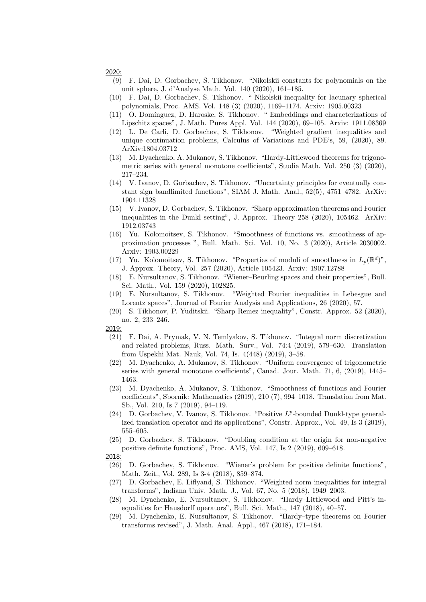- (9) F. Dai, D. Gorbachev, S. Tikhonov. "Nikolskii constants for polynomials on the unit sphere, J. d'Analyse Math. Vol. 140 (2020), 161–185.
- (10) F. Dai, D. Gorbachev, S. Tikhonov. " Nikolskii inequality for lacunary spherical polynomials, Proc. AMS. Vol. 148 (3) (2020), 1169–1174. Arxiv: 1905.00323
- (11) O. Dom´ınguez, D. Haroske, S. Tikhonov. " Embeddings and characterizations of Lipschitz spaces", J. Math. Pures Appl. Vol. 144 (2020), 69–105. Arxiv: 1911.08369
- (12) L. De Carli, D. Gorbachev, S. Tikhonov. "Weighted gradient inequalities and unique continuation problems, Calculus of Variations and PDE's, 59, (2020), 89. ArXiv:1804.03712
- (13) M. Dyachenko, A. Mukanov, S. Tikhonov. "Hardy-Littlewood theorems for trigonometric series with general monotone coefficients", Studia Math. Vol. 250 (3) (2020), 217–234.
- (14) V. Ivanov, D. Gorbachev, S. Tikhonov. "Uncertainty principles for eventually constant sign bandlimited functions", SIAM J. Math. Anal., 52(5), 4751–4782. ArXiv: 1904.11328
- (15) V. Ivanov, D. Gorbachev, S. Tikhonov. "Sharp approximation theorems and Fourier inequalities in the Dunkl setting", J. Approx. Theory 258 (2020), 105462. ArXiv: 1912.03743
- (16) Yu. Kolomoitsev, S. Tikhonov. "Smoothness of functions vs. smoothness of approximation processes ", Bull. Math. Sci. Vol. 10, No. 3 (2020), Article 2030002. Arxiv: 1903.00229
- (17) Yu. Kolomoitsev, S. Tikhonov. "Properties of moduli of smoothness in  $L_p(\mathbb{R}^d)$ ", J. Approx. Theory, Vol. 257 (2020), Article 105423. Arxiv: 1907.12788
- (18) E. Nursultanov, S. Tikhonov. "Wiener–Beurling spaces and their properties", Bull. Sci. Math., Vol. 159 (2020), 102825.
- (19) E. Nursultanov, S. Tikhonov. "Weighted Fourier inequalities in Lebesgue and Lorentz spaces", Journal of Fourier Analysis and Applications, 26 (2020), 57.
- (20) S. Tikhonov, P. Yuditskii. "Sharp Remez inequality", Constr. Approx. 52 (2020), no. 2, 233–246.

- (21) F. Dai, A. Prymak, V. N. Temlyakov, S. Tikhonov. "Integral norm discretization and related problems, Russ. Math. Surv., Vol. 74:4 (2019), 579–630. Translation from Uspekhi Mat. Nauk, Vol. 74, Is. 4(448) (2019), 3–58.
- (22) M. Dyachenko, A. Mukanov, S. Tikhonov. "Uniform convergence of trigonometric series with general monotone coefficients", Canad. Jour. Math. 71, 6, (2019), 1445– 1463.
- (23) M. Dyachenko, A. Mukanov, S. Tikhonov. "Smoothness of functions and Fourier coefficients", Sbornik: Mathematics (2019), 210 (7), 994–1018. Translation from Mat. Sb., Vol. 210, Is 7 (2019), 94–119.
- (24) D. Gorbachev, V. Ivanov, S. Tikhonov. "Positive  $L^p$ -bounded Dunkl-type generalized translation operator and its applications", Constr. Approx., Vol. 49, Is 3 (2019), 555–605.
- (25) D. Gorbachev, S. Tikhonov. "Doubling condition at the origin for non-negative positive definite functions", Proc. AMS, Vol. 147, Is 2 (2019), 609–618.

- (26) D. Gorbachev, S. Tikhonov. "Wiener's problem for positive definite functions", Math. Zeit., Vol. 289, Is 3-4 (2018), 859–874.
- (27) D. Gorbachev, E. Liflyand, S. Tikhonov. "Weighted norm inequalities for integral transforms", Indiana Univ. Math. J., Vol. 67, No. 5 (2018), 1949–2003.
- (28) M. Dyachenko, E. Nursultanov, S. Tikhonov. "Hardy–Littlewood and Pitt's inequalities for Hausdorff operators", Bull. Sci. Math., 147 (2018), 40–57.
- (29) M. Dyachenko, E. Nursultanov, S. Tikhonov. "Hardy–type theorems on Fourier transforms revised", J. Math. Anal. Appl., 467 (2018), 171–184.

<sup>2019:</sup>

<sup>2018:</sup>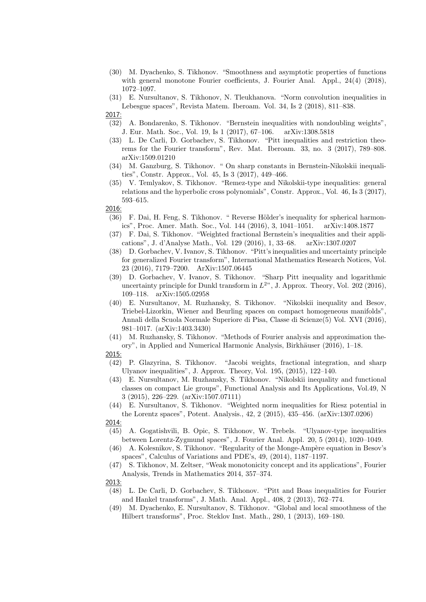- (30) M. Dyachenko, S. Tikhonov. "Smoothness and asymptotic properties of functions with general monotone Fourier coefficients, J. Fourier Anal. Appl., 24(4) (2018), 1072–1097.
- (31) E. Nursultanov, S. Tikhonov, N. Tleukhanova. "Norm convolution inequalities in Lebesgue spaces", Revista Matem. Iberoam. Vol. 34, Is 2 (2018), 811–838. 2017:
- (32) A. Bondarenko, S. Tikhonov. "Bernstein inequalities with nondoubling weights", J. Eur. Math. Soc., Vol. 19, Is 1 (2017), 67–106. arXiv:1308.5818
- (33) L. De Carli, D. Gorbachev, S. Tikhonov. "Pitt inequalities and restriction theorems for the Fourier transform", Rev. Mat. Iberoam. 33, no. 3 (2017), 789–808. arXiv:1509.01210
- (34) M. Ganzburg, S. Tikhonov. " On sharp constants in Bernstein-Nikolskii inequalities", Constr. Approx., Vol. 45, Is 3 (2017), 449–466.
- (35) V. Temlyakov, S. Tikhonov. "Remez-type and Nikolskii-type inequalities: general relations and the hyperbolic cross polynomials", Constr. Approx., Vol. 46, Is 3 (2017), 593–615.

- (36) F. Dai, H. Feng, S. Tikhonov. " Reverse Hölder's inequality for spherical harmonics", Proc. Amer. Math. Soc., Vol. 144 (2016), 3, 1041–1051. arXiv:1408.1877
- (37) F. Dai, S. Tikhonov. "Weighted fractional Bernstein's inequalities and their applications", J. d'Analyse Math., Vol. 129 (2016), 1, 33–68. arXiv:1307.0207
- (38) D. Gorbachev, V. Ivanov, S. Tikhonov. "Pitt's inequalities and uncertainty principle for generalized Fourier transform", International Mathematics Research Notices, Vol. 23 (2016), 7179–7200. ArXiv:1507.06445
- (39) D. Gorbachev, V. Ivanov, S. Tikhonov. "Sharp Pitt inequality and logarithmic uncertainty principle for Dunkl transform in  $L^{2}$ , J. Approx. Theory, Vol. 202 (2016), 109–118. arXiv:1505.02958
- (40) E. Nursultanov, M. Ruzhansky, S. Tikhonov. "Nikolskii inequality and Besov, Triebel-Lizorkin, Wiener and Beurling spaces on compact homogeneous manifolds", Annali della Scuola Normale Superiore di Pisa, Classe di Scienze(5) Vol. XVI (2016), 981–1017. (arXiv:1403.3430)
- (41) M. Ruzhansky, S. Tikhonov. "Methods of Fourier analysis and approximation theory", in Applied and Numerical Harmonic Analysis, Birkhäuser (2016), 1-18.
- 2015:
- (42) P. Glazyrina, S. Tikhonov. "Jacobi weights, fractional integration, and sharp Ulyanov inequalities", J. Approx. Theory, Vol. 195, (2015), 122–140.
- (43) E. Nursultanov, M. Ruzhansky, S. Tikhonov. "Nikolskii inequality and functional classes on compact Lie groups", Functional Analysis and Its Applications, Vol.49, N 3 (2015), 226–229. (arXiv:1507.07111)
- (44) E. Nursultanov, S. Tikhonov. "Weighted norm inequalities for Riesz potential in the Lorentz spaces", Potent. Analysis., 42, 2 (2015), 435–456. (arXiv:1307.0206)

- (45) A. Gogatishvili, B. Opic, S. Tikhonov, W. Trebels. "Ulyanov-type inequalities between Lorentz-Zygmund spaces", J. Fourier Anal. Appl. 20, 5 (2014), 1020–1049.
- (46) A. Kolesnikov, S. Tikhonov. "Regularity of the Monge-Ampère equation in Besov's spaces", Calculus of Variations and PDE's, 49, (2014), 1187–1197.
- (47) S. Tikhonov, M. Zeltser, "Weak monotonicity concept and its applications", Fourier Analysis, Trends in Mathematics 2014, 357–374.

- (48) L. De Carli, D. Gorbachev, S. Tikhonov. "Pitt and Boas inequalities for Fourier and Hankel transforms", J. Math. Anal. Appl., 408, 2 (2013), 762–774.
- (49) M. Dyachenko, E. Nursultanov, S. Tikhonov. "Global and local smoothness of the Hilbert transforms", Proc. Steklov Inst. Math., 280, 1 (2013), 169–180.

<sup>2013:</sup>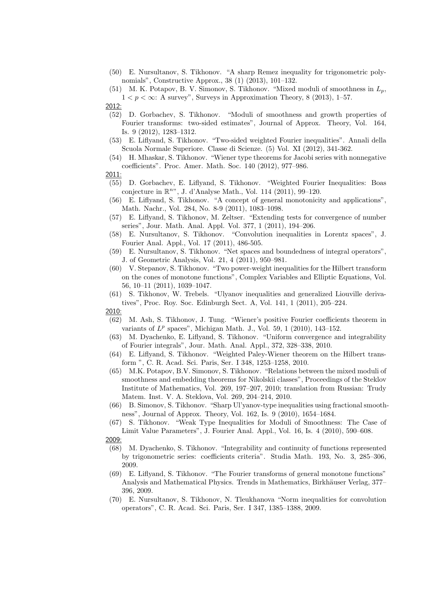- (50) E. Nursultanov, S. Tikhonov. "A sharp Remez inequality for trigonometric polynomials", Constructive Approx., 38 (1) (2013), 101–132.
- (51) M. K. Potapov, B. V. Simonov, S. Tikhonov. "Mixed moduli of smoothness in  $L_p$ ,  $1 < p < \infty$ : A survey", Surveys in Approximation Theory, 8 (2013), 1–57.

- (52) D. Gorbachev, S. Tikhonov. "Moduli of smoothness and growth properties of Fourier transforms: two-sided estimates", Journal of Approx. Theory, Vol. 164, Is. 9 (2012), 1283–1312.
- (53) E. Liflyand, S. Tikhonov. "Two-sided weighted Fourier inequalities". Annali della Scuola Normale Superiore. Classe di Scienze. (5) Vol. XI (2012), 341-362.
- (54) H. Mhaskar, S. Tikhonov. "Wiener type theorems for Jacobi series with nonnegative coefficients". Proc. Amer. Math. Soc. 140 (2012), 977–986.
- 2011:
- (55) D. Gorbachev, E. Liflyand, S. Tikhonov. "Weighted Fourier Inequalities: Boas conjecture in  $\mathbb{R}^n$ ", J. d'Analyse Math., Vol. 114 (2011), 99-120.
- (56) E. Liflyand, S. Tikhonov. "A concept of general monotonicity and applications", Math. Nachr., Vol. 284, No. 8-9 (2011), 1083–1098.
- (57) E. Liflyand, S. Tikhonov, M. Zeltser. "Extending tests for convergence of number series", Jour. Math. Anal. Appl. Vol. 377, 1 (2011), 194–206.
- (58) E. Nursultanov, S. Tikhonov. "Convolution inequalities in Lorentz spaces", J. Fourier Anal. Appl., Vol. 17 (2011), 486-505.
- (59) E. Nursultanov, S. Tikhonov. "Net spaces and boundedness of integral operators", J. of Geometric Analysis, Vol. 21, 4 (2011), 950–981.
- (60) V. Stepanov, S. Tikhonov. "Two power-weight inequalities for the Hilbert transform on the cones of monotone functions", Complex Variables and Elliptic Equations, Vol. 56, 10–11 (2011), 1039–1047.
- (61) S. Tikhonov, W. Trebels. "Ulyanov inequalities and generalized Liouville derivatives", Proc. Roy. Soc. Edinburgh Sect. A, Vol. 141, 1 (2011), 205–224.

- (62) M. Ash, S. Tikhonov, J. Tung. "Wiener's positive Fourier coefficients theorem in variants of  $L^p$  spaces", Michigan Math. J., Vol. 59, 1 (2010), 143-152.
- (63) M. Dyachenko, E. Liflyand, S. Tikhonov. "Uniform convergence and integrability of Fourier integrals", Jour. Math. Anal. Appl., 372, 328–338, 2010.
- (64) E. Liflyand, S. Tikhonov. "Weighted Paley-Wiener theorem on the Hilbert transform ", C. R. Acad. Sci. Paris, Ser. I 348, 1253–1258, 2010.
- (65) M.K. Potapov, B.V. Simonov, S. Tikhonov. "Relations between the mixed moduli of smoothness and embedding theorems for Nikolskii classes", Proceedings of the Steklov Institute of Mathematics, Vol. 269, 197–207, 2010; translation from Russian: Trudy Matem. Inst. V. A. Steklova, Vol. 269, 204–214, 2010.
- (66) B. Simonov, S. Tikhonov. "Sharp Ul'yanov-type inequalities using fractional smoothness", Journal of Approx. Theory, Vol. 162, Is. 9 (2010), 1654–1684.
- (67) S. Tikhonov. "Weak Type Inequalities for Moduli of Smoothness: The Case of Limit Value Parameters", J. Fourier Anal. Appl., Vol. 16, Is. 4 (2010), 590–608. 2009:
- (68) M. Dyachenko, S. Tikhonov. "Integrability and continuity of functions represented by trigonometric series: coefficients criteria". Studia Math. 193, No. 3, 285–306, 2009.
- (69) E. Liflyand, S. Tikhonov. "The Fourier transforms of general monotone functions" Analysis and Mathematical Physics. Trends in Mathematics, Birkhäuser Verlag, 377– 396, 2009.
- (70) E. Nursultanov, S. Tikhonov, N. Tleukhanova "Norm inequalities for convolution operators", C. R. Acad. Sci. Paris, Ser. I 347, 1385–1388, 2009.

<sup>2012:</sup>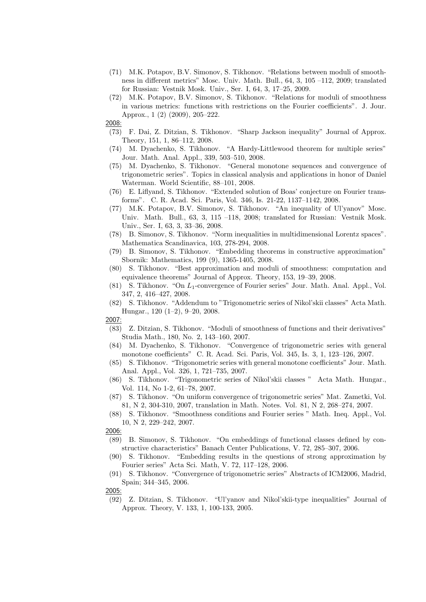- (71) M.K. Potapov, B.V. Simonov, S. Tikhonov. "Relations between moduli of smoothness in different metrics" Mosc. Univ. Math. Bull., 64, 3, 105 –112, 2009; translated for Russian: Vestnik Mosk. Univ., Ser. I, 64, 3, 17–25, 2009.
- (72) M.K. Potapov, B.V. Simonov, S. Tikhonov. "Relations for moduli of smoothness in various metrics: functions with restrictions on the Fourier coefficients". J. Jour. Approx., 1 (2) (2009), 205–222.
- 2008:
- (73) F. Dai, Z. Ditzian, S. Tikhonov. "Sharp Jackson inequality" Journal of Approx. Theory, 151, 1, 86–112, 2008.
- (74) M. Dyachenko, S. Tikhonov. "A Hardy-Littlewood theorem for multiple series" Jour. Math. Anal. Appl., 339, 503–510, 2008.
- (75) M. Dyachenko, S. Tikhonov. "General monotone sequences and convergence of trigonometric series". Topics in classical analysis and applications in honor of Daniel Waterman. World Scientific, 88–101, 2008.
- (76) E. Liflyand, S. Tikhonov. "Extended solution of Boas' conjecture on Fourier transforms". C. R. Acad. Sci. Paris, Vol. 346, Is. 21-22, 1137–1142, 2008.
- (77) M.K. Potapov, B.V. Simonov, S. Tikhonov. "An inequality of Ul'yanov" Mosc. Univ. Math. Bull., 63, 3, 115 –118, 2008; translated for Russian: Vestnik Mosk. Univ., Ser. I, 63, 3, 33–36, 2008.
- (78) B. Simonov, S. Tikhonov. "Norm inequalities in multidimensional Lorentz spaces". Mathematica Scandinavica, 103, 278-294, 2008.
- (79) B. Simonov, S. Tikhonov. "Embedding theorems in constructive approximation" Sbornik: Mathematics, 199 (9), 1365-1405, 2008.
- (80) S. Tikhonov. "Best approximation and moduli of smoothness: computation and equivalence theorems" Journal of Approx. Theory, 153, 19–39, 2008.
- (81) S. Tikhonov. "On L1-convergence of Fourier series" Jour. Math. Anal. Appl., Vol. 347, 2, 416–427, 2008.
- (82) S. Tikhonov. "Addendum to "Trigonometric series of Nikol'skii classes" Acta Math. Hungar., 120 (1–2), 9–20, 2008.

- (83) Z. Ditzian, S. Tikhonov. "Moduli of smoothness of functions and their derivatives" Studia Math., 180, No. 2, 143–160, 2007.
- (84) M. Dyachenko, S. Tikhonov. "Convergence of trigonometric series with general monotone coefficients" C. R. Acad. Sci. Paris, Vol. 345, Is. 3, 1, 123–126, 2007.
- (85) S. Tikhonov. "Trigonometric series with general monotone coefficients" Jour. Math. Anal. Appl., Vol. 326, 1, 721–735, 2007.
- (86) S. Tikhonov. "Trigonometric series of Nikol'skii classes " Acta Math. Hungar., Vol. 114, No 1-2, 61–78, 2007.
- (87) S. Tikhonov. "On uniform convergence of trigonometric series" Mat. Zametki, Vol. 81, N 2, 304-310, 2007, translation in Math. Notes. Vol. 81, N 2, 268–274, 2007.
- (88) S. Tikhonov. "Smoothness conditions and Fourier series " Math. Ineq. Appl., Vol. 10, N 2, 229–242, 2007.
- 2006:
	- (89) B. Simonov, S. Tikhonov. "On embeddings of functional classes defined by constructive characteristics" Banach Center Publications, V. 72, 285–307, 2006.
- (90) S. Tikhonov. "Embedding results in the questions of strong approximation by Fourier series" Acta Sci. Math, V. 72, 117–128, 2006.
- (91) S. Tikhonov. "Convergence of trigonometric series" Abstracts of ICM2006, Madrid, Spain; 344–345, 2006.

(92) Z. Ditzian, S. Tikhonov. "Ul'yanov and Nikol'skii-type inequalities" Journal of Approx. Theory, V. 133, 1, 100-133, 2005.

<sup>2005:</sup>